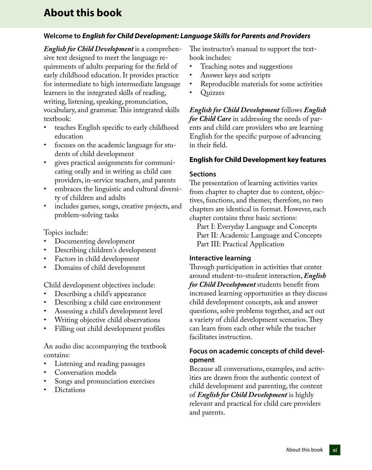# **About this book**

# **Welcome to** *English for Child Development: Language Skills for Parents and Providers*

*English for Child Development* is a comprehensive text designed to meet the language requirements of adults preparing for the field of early childhood education. It provides practice for intermediate to high intermediate language learners in the integrated skills of reading, writing, listening, speaking, pronunciation, vocabulary, and grammar. This integrated skills textbook:

- teaches English specific to early childhood education
- focuses on the academic language for students of child development
- gives practical assignments for communicating orally and in writing as child care providers, in-service teachers, and parents
- embraces the linguistic and cultural diversity of children and adults
- includes games, songs, creative projects, and problem-solving tasks

Topics include:

- Documenting development
- Describing children's development
- Factors in child development
- Domains of child development

Child development objectives include:

- Describing a child's appearance
- Describing a child care environment
- Assessing a child's development level
- Writing objective child observations
- Filling out child development profiles

An audio disc accompanying the textbook contains:

- Listening and reading passages
- Conversation models
- Songs and pronunciation exercises
- **Dictations**

The instructor's manual to support the textbook includes:

- Teaching notes and suggestions
- Answer keys and scripts
- Reproducible materials for some activities
- Quizzes

*English for Child Development* follows *English for Child Care* in addressing the needs of parents and child care providers who are learning English for the specific purpose of advancing in their field.

### **English for Child Development key features**

#### **Sections**

The presentation of learning activities varies from chapter to chapter due to content, objectives, functions, and themes; therefore, no two chapters are identical in format. However, each chapter contains three basic sections:

Part I: Everyday Language and Concepts Part II: Academic Language and Concepts Part III: Practical Application

### **Interactive learning**

Through participation in activities that center around student-to-student interaction, *English for Child Development* students benefit from increased learning opportunities as they discuss child development concepts, ask and answer questions, solve problems together, and act out a variety of child development scenarios. They can learn from each other while the teacher facilitates instruction.

### **Focus on academic concepts of child development**

Because all conversations, examples, and activities are drawn from the authentic context of child development and parenting, the content of *English for Child Development* is highly relevant and practical for child care providers and parents.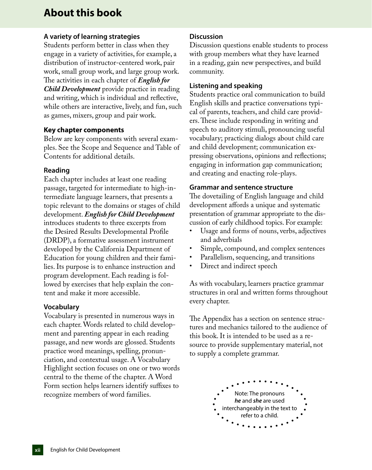# **About this book**

## **A variety of learning strategies**

Students perform better in class when they engage in a variety of activities, for example, a distribution of instructor-centered work, pair work, small group work, and large group work. The activities in each chapter of *English for Child Development* provide practice in reading and writing, which is individual and reflective, while others are interactive, lively, and fun, such as games, mixers, group and pair work.

### **Key chapter components**

Below are key components with several examples. See the Scope and Sequence and Table of Contents for additional details.

### **Reading**

Each chapter includes at least one reading passage, targeted for intermediate to high-intermediate language learners, that presents a topic relevant to the domains or stages of child development. *English for Child Development* introduces students to three excerpts from the Desired Results Developmental Profile (DRDP), a formative assessment instrument developed by the California Department of Education for young children and their families. Its purpose is to enhance instruction and program development. Each reading is followed by exercises that help explain the content and make it more accessible.

### **Vocabulary**

Vocabulary is presented in numerous ways in each chapter. Words related to child development and parenting appear in each reading passage, and new words are glossed. Students practice word meanings, spelling, pronunciation, and contextual usage. A Vocabulary Highlight section focuses on one or two words central to the theme of the chapter. A Word Form section helps learners identify suffixes to recognize members of word families.

### **Discussion**

Discussion questions enable students to process with group members what they have learned in a reading, gain new perspectives, and build community.

### **Listening and speaking**

Students practice oral communication to build English skills and practice conversations typical of parents, teachers, and child care providers. These include responding in writing and speech to auditory stimuli, pronouncing useful vocabulary; practicing dialogs about child care and child development; communication expressing observations, opinions and reflections; engaging in information gap communication; and creating and enacting role-plays.

#### **Grammar and sentence structure**

The dovetailing of English language and child development affords a unique and systematic presentation of grammar appropriate to the discussion of early childhood topics. For example:

- Usage and forms of nouns, verbs, adjectives and adverbials
- Simple, compound, and complex sentences
- Parallelism, sequencing, and transitions
- Direct and indirect speech

As with vocabulary, learners practice grammar structures in oral and written forms throughout every chapter.

The Appendix has a section on sentence structures and mechanics tailored to the audience of this book. It is intended to be used as a resource to provide supplementary material, not to supply a complete grammar.

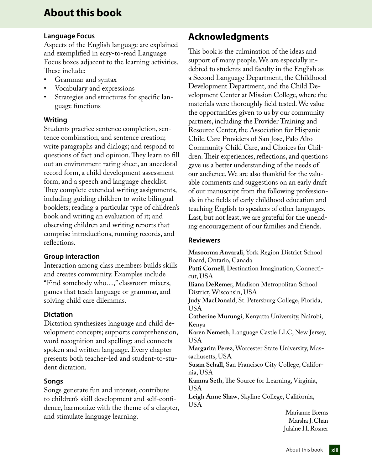# **About this book**

### **Language Focus**

Aspects of the English language are explained and exemplified in easy-to-read Language Focus boxes adjacent to the learning activities. These include:

- Grammar and syntax
- Vocabulary and expressions
- Strategies and structures for specific language functions

# **Writing**

Students practice sentence completion, sentence combination, and sentence creation; write paragraphs and dialogs; and respond to questions of fact and opinion. They learn to fill out an environment rating sheet, an anecdotal record form, a child development assessment form, and a speech and language checklist. They complete extended writing assignments, including guiding children to write bilingual booklets; reading a particular type of children's book and writing an evaluation of it; and observing children and writing reports that comprise introductions, running records, and reflections.

### **Group interaction**

Interaction among class members builds skills and creates community. Examples include "Find somebody who…," classroom mixers, games that teach language or grammar, and solving child care dilemmas.

# **Dictation**

Dictation synthesizes language and child development concepts; supports comprehension, word recognition and spelling; and connects spoken and written language. Every chapter presents both teacher-led and student-to-student dictation.

# **Songs**

Songs generate fun and interest, contribute to children's skill development and self-confidence, harmonize with the theme of a chapter, and stimulate language learning.

# **Acknowledgments**

This book is the culmination of the ideas and support of many people. We are especially indebted to students and faculty in the English as a Second Language Department, the Childhood Development Department, and the Child Development Center at Mission College, where the materials were thoroughly field tested. We value the opportunities given to us by our community partners, including the Provider Training and Resource Center, the Association for Hispanic Child Care Providers of San Jose, Palo Alto Community Child Care, and Choices for Children. Their experiences, reflections, and questions gave us a better understanding of the needs of our audience. We are also thankful for the valuable comments and suggestions on an early draft of our manuscript from the following professionals in the fields of early childhood education and teaching English to speakers of other languages. Last, but not least, we are grateful for the unending encouragement of our families and friends.

# **Reviewers**

**Masoorma Anvarali**, York Region District School Board, Ontario, Canada **Patti Cornell**, Destination Imagination, Connecticut, USA **Iliana DeRemer,** Madison Metropolitan School District, Wisconsin, USA **Judy MacDonald**, St. Petersburg College, Florida, USA **Catherine Murungi**, Kenyatta University, Nairobi, Kenya **Karen Nemeth**, Language Castle LLC, New Jersey, USA **Margarita Perez**, Worcester State University, Massachusetts, USA **Susan Schall**, San Francisco City College, California, USA **Kamna Seth**, The Source for Learning, Virginia, USA **Leigh Anne Shaw**, Skyline College, California, USA

Marianne Brems Marsha J. Chan Julaine H. Rosner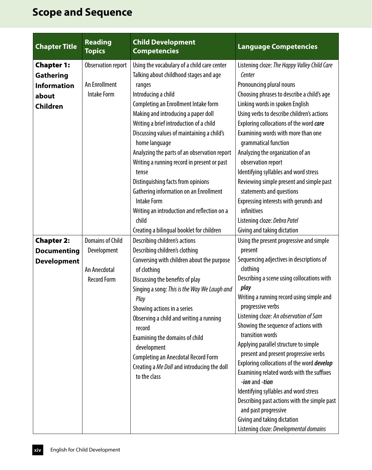| <b>Chapter Title</b>                                                                    | <b>Reading</b><br><b>Topics</b>                                              | <b>Child Development</b><br><b>Competencies</b>                                                                                                                                                                                                                                                                                                                                                                                                                                                                                                                                       | <b>Language Competencies</b>                                                                                                                                                                                                                                                                                                                                                                                                                                                                                                                                                                                                                                                                                                                                      |
|-----------------------------------------------------------------------------------------|------------------------------------------------------------------------------|---------------------------------------------------------------------------------------------------------------------------------------------------------------------------------------------------------------------------------------------------------------------------------------------------------------------------------------------------------------------------------------------------------------------------------------------------------------------------------------------------------------------------------------------------------------------------------------|-------------------------------------------------------------------------------------------------------------------------------------------------------------------------------------------------------------------------------------------------------------------------------------------------------------------------------------------------------------------------------------------------------------------------------------------------------------------------------------------------------------------------------------------------------------------------------------------------------------------------------------------------------------------------------------------------------------------------------------------------------------------|
| <b>Chapter 1:</b><br><b>Gathering</b><br><b>Information</b><br>about<br><b>Children</b> | Observation report<br>An Enrollment<br><b>Intake Form</b>                    | Using the vocabulary of a child care center<br>Talking about childhood stages and age<br>ranges<br>Introducing a child<br>Completing an Enrollment Intake form<br>Making and introducing a paper doll<br>Writing a brief introduction of a child<br>Discussing values of maintaining a child's<br>home language<br>Analyzing the parts of an observation report<br>Writing a running record in present or past<br>tense<br>Distinguishing facts from opinions<br>Gathering information on an Enrollment<br><b>Intake Form</b><br>Writing an introduction and reflection on a<br>child | Listening cloze: The Happy Valley Child Care<br>Center<br>Pronouncing plural nouns<br>Choosing phrases to describe a child's age<br>Linking words in spoken English<br>Using verbs to describe children's actions<br>Exploring collocations of the word care<br>Examining words with more than one<br>grammatical function<br>Analyzing the organization of an<br>observation report<br>Identifying syllables and word stress<br>Reviewing simple present and simple past<br>statements and questions<br>Expressing interests with gerunds and<br>infinitives<br>Listening cloze: Debra Patel                                                                                                                                                                     |
| <b>Chapter 2:</b><br><b>Documenting</b><br><b>Development</b>                           | <b>Domains of Child</b><br>Development<br>An Anecdotal<br><b>Record Form</b> | Creating a bilingual booklet for children<br>Describing children's actions<br>Describing children's clothing<br>Conversing with children about the purpose<br>of clothing<br>Discussing the benefits of play<br>Singing a song: This is the Way We Laugh and<br>Play<br>Showing actions in a series<br>Observing a child and writing a running<br>record<br>Examining the domains of child<br>development<br>Completing an Anecdotal Record Form<br>Creating a Me Doll and introducing the doll<br>to the class                                                                       | Giving and taking dictation<br>Using the present progressive and simple<br>present<br>Sequencing adjectives in descriptions of<br>clothing<br>Describing a scene using collocations with<br>play<br>Writing a running record using simple and<br>progressive verbs<br>Listening cloze: An observation of Sam<br>Showing the sequence of actions with<br>transition words<br>Applying parallel structure to simple<br>present and present progressive verbs<br>Exploring collocations of the word develop<br>Examining related words with the suffixes<br>-ion and -tion<br>Identifying syllables and word stress<br>Describing past actions with the simple past<br>and past progressive<br>Giving and taking dictation<br>Listening cloze: Developmental domains |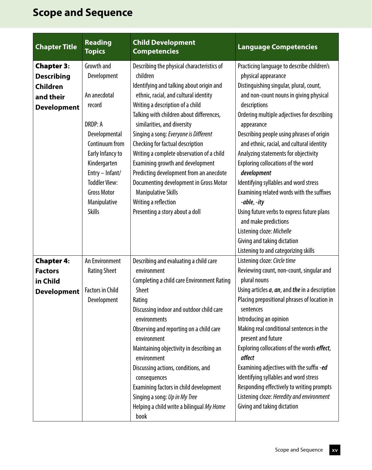| <b>Chapter Title</b> | <b>Reading</b><br><b>Topics</b>                                                                                                                                                         | <b>Child Development</b><br><b>Competencies</b>                                                                                                                                                                                                                                                                                                                                                                     | <b>Language Competencies</b>                                                                                                                                                                                                                                                                                                                                                                                                                                                            |
|----------------------|-----------------------------------------------------------------------------------------------------------------------------------------------------------------------------------------|---------------------------------------------------------------------------------------------------------------------------------------------------------------------------------------------------------------------------------------------------------------------------------------------------------------------------------------------------------------------------------------------------------------------|-----------------------------------------------------------------------------------------------------------------------------------------------------------------------------------------------------------------------------------------------------------------------------------------------------------------------------------------------------------------------------------------------------------------------------------------------------------------------------------------|
| <b>Chapter 3:</b>    | Growth and                                                                                                                                                                              | Describing the physical characteristics of                                                                                                                                                                                                                                                                                                                                                                          | Practicing language to describe children's                                                                                                                                                                                                                                                                                                                                                                                                                                              |
| <b>Describing</b>    | Development                                                                                                                                                                             | children                                                                                                                                                                                                                                                                                                                                                                                                            | physical appearance                                                                                                                                                                                                                                                                                                                                                                                                                                                                     |
| <b>Children</b>      |                                                                                                                                                                                         | Identifying and talking about origin and                                                                                                                                                                                                                                                                                                                                                                            | Distinguishing singular, plural, count,                                                                                                                                                                                                                                                                                                                                                                                                                                                 |
| and their            | An anecdotal                                                                                                                                                                            | ethnic, racial, and cultural identity                                                                                                                                                                                                                                                                                                                                                                               | and non-count nouns in giving physical                                                                                                                                                                                                                                                                                                                                                                                                                                                  |
| <b>Development</b>   | record                                                                                                                                                                                  | Writing a description of a child                                                                                                                                                                                                                                                                                                                                                                                    | descriptions                                                                                                                                                                                                                                                                                                                                                                                                                                                                            |
|                      | <b>DRDP: A</b><br>Developmental<br>Continuum from<br>Early Infancy to<br>Kindergarten<br>Entry - Infant/<br><b>Toddler View:</b><br><b>Gross Motor</b><br>Manipulative<br><b>Skills</b> | Talking with children about differences,<br>similarities, and diversity<br>Singing a song: Everyone is Different<br>Checking for factual description<br>Writing a complete observation of a child<br>Examining growth and development<br>Predicting development from an anecdote<br>Documenting development in Gross Motor<br><b>Manipulative Skills</b><br>Writing a reflection<br>Presenting a story about a doll | Ordering multiple adjectives for describing<br>appearance<br>Describing people using phrases of origin<br>and ethnic, racial, and cultural identity<br>Analyzing statements for objectivity<br>Exploring collocations of the word<br>development<br>Identifying syllables and word stress<br>Examining related words with the suffixes<br>-able, -ity<br>Using future verbs to express future plans<br>and make predictions<br>Listening cloze: Michelle<br>Giving and taking dictation |
| <b>Chapter 4:</b>    | An Environment                                                                                                                                                                          | Describing and evaluating a child care                                                                                                                                                                                                                                                                                                                                                                              | Listening to and categorizing skills<br>Listening cloze: Circle time                                                                                                                                                                                                                                                                                                                                                                                                                    |
| <b>Factors</b>       | <b>Rating Sheet</b>                                                                                                                                                                     | environment                                                                                                                                                                                                                                                                                                                                                                                                         | Reviewing count, non-count, singular and                                                                                                                                                                                                                                                                                                                                                                                                                                                |
| in Child             |                                                                                                                                                                                         | <b>Completing a child care Environment Rating</b>                                                                                                                                                                                                                                                                                                                                                                   | plural nouns                                                                                                                                                                                                                                                                                                                                                                                                                                                                            |
| <b>Development</b>   | <b>Factors in Child</b>                                                                                                                                                                 | <b>Sheet</b>                                                                                                                                                                                                                                                                                                                                                                                                        | Using articles $a$ , $an$ , and the in a description                                                                                                                                                                                                                                                                                                                                                                                                                                    |
|                      | Development                                                                                                                                                                             | Rating<br>Discussing indoor and outdoor child care<br>environments<br>Observing and reporting on a child care<br>environment<br>Maintaining objectivity in describing an<br>environment<br>Discussing actions, conditions, and<br>consequences<br>Examining factors in child development<br>Singing a song: Up in My Tree<br>Helping a child write a bilingual My Home<br>book                                      | Placing prepositional phrases of location in<br>sentences<br>Introducing an opinion<br>Making real conditional sentences in the<br>present and future<br>Exploring collocations of the words effect,<br>affect<br>Examining adjectives with the suffix -ed<br>Identifying syllables and word stress<br>Responding effectively to writing prompts<br>Listening cloze: Heredity and environment<br>Giving and taking dictation                                                            |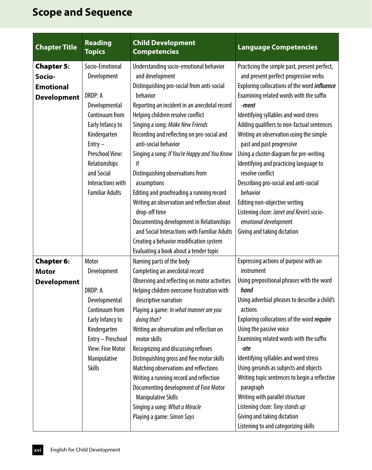| Socio-Emotional<br>Understanding socio-emotional behavior<br><b>Chapter 5:</b><br>Practicing the simple past, present perfect,<br>and development<br>and present perfect progressive verbs<br>Socio-<br>Development<br>Distinguishing pro-social from anti-social<br>Exploring collocations of the word <i>influence</i><br><b>Emotional</b><br><b>DRDP: A</b><br>behavior<br>Examining related words with the suffix<br><b>Development</b><br>Reporting an incident in an anecdotal record<br>Developmental<br>-ment<br>Continuum from<br>Helping children resolve conflict<br>Identifying syllables and word stress |
|-----------------------------------------------------------------------------------------------------------------------------------------------------------------------------------------------------------------------------------------------------------------------------------------------------------------------------------------------------------------------------------------------------------------------------------------------------------------------------------------------------------------------------------------------------------------------------------------------------------------------|
|                                                                                                                                                                                                                                                                                                                                                                                                                                                                                                                                                                                                                       |
|                                                                                                                                                                                                                                                                                                                                                                                                                                                                                                                                                                                                                       |
|                                                                                                                                                                                                                                                                                                                                                                                                                                                                                                                                                                                                                       |
|                                                                                                                                                                                                                                                                                                                                                                                                                                                                                                                                                                                                                       |
|                                                                                                                                                                                                                                                                                                                                                                                                                                                                                                                                                                                                                       |
|                                                                                                                                                                                                                                                                                                                                                                                                                                                                                                                                                                                                                       |
| Early Infancy to<br>Singing a song: Make New Friends<br>Adding qualifiers to non-factual sentences                                                                                                                                                                                                                                                                                                                                                                                                                                                                                                                    |
| Recording and reflecting on pro-social and<br>Writing an observation using the simple<br>Kindergarten                                                                                                                                                                                                                                                                                                                                                                                                                                                                                                                 |
| $Entry -$<br>anti-social behavior<br>past and past progressive                                                                                                                                                                                                                                                                                                                                                                                                                                                                                                                                                        |
| <b>Preschool View:</b><br>Singing a song: If You're Happy and You Know<br>Using a cluster diagram for pre-writing                                                                                                                                                                                                                                                                                                                                                                                                                                                                                                     |
| Relationships<br>Identifying and practicing language to<br>lt                                                                                                                                                                                                                                                                                                                                                                                                                                                                                                                                                         |
| and Social<br>Distinguishing observations from<br>resolve conflict                                                                                                                                                                                                                                                                                                                                                                                                                                                                                                                                                    |
| Describing pro-social and anti-social<br>Interactions with<br>assumptions                                                                                                                                                                                                                                                                                                                                                                                                                                                                                                                                             |
| behavior<br><b>Familiar Adults</b><br>Editing and proofreading a running record                                                                                                                                                                                                                                                                                                                                                                                                                                                                                                                                       |
| Writing an observation and reflection about<br>Editing non-objective writing                                                                                                                                                                                                                                                                                                                                                                                                                                                                                                                                          |
| Listening cloze: Janet and Kevin's socio-<br>drop-off time                                                                                                                                                                                                                                                                                                                                                                                                                                                                                                                                                            |
| Documenting development in Relationships<br>emotional development                                                                                                                                                                                                                                                                                                                                                                                                                                                                                                                                                     |
| and Social Interactions with Familiar Adults<br>Giving and taking dictation                                                                                                                                                                                                                                                                                                                                                                                                                                                                                                                                           |
| Creating a behavior modification system                                                                                                                                                                                                                                                                                                                                                                                                                                                                                                                                                                               |
| Evaluating a book about a tender topic                                                                                                                                                                                                                                                                                                                                                                                                                                                                                                                                                                                |
| Motor<br><b>Chapter 6:</b><br>Naming parts of the body<br>Expressing actions of purpose with an                                                                                                                                                                                                                                                                                                                                                                                                                                                                                                                       |
| Completing an anecdotal record<br>Development<br>instrument<br><b>Motor</b>                                                                                                                                                                                                                                                                                                                                                                                                                                                                                                                                           |
| Observing and reflecting on motor activities<br>Using prepositional phrases with the word<br><b>Development</b>                                                                                                                                                                                                                                                                                                                                                                                                                                                                                                       |
| <b>DRDP: A</b><br>Helping children overcome frustration with<br>hand                                                                                                                                                                                                                                                                                                                                                                                                                                                                                                                                                  |
| Using adverbial phrases to describe a child's<br>Developmental<br>descriptive narration                                                                                                                                                                                                                                                                                                                                                                                                                                                                                                                               |
| Continuum from<br>Playing a game: In what manner are you<br>actions                                                                                                                                                                                                                                                                                                                                                                                                                                                                                                                                                   |
| Early Infancy to<br>doing that?<br>Exploring collocations of the word require                                                                                                                                                                                                                                                                                                                                                                                                                                                                                                                                         |
| Writing an observation and reflection on<br>Using the passive voice<br>Kindergarten                                                                                                                                                                                                                                                                                                                                                                                                                                                                                                                                   |
| Examining related words with the suffix<br>Entry - Preschool<br>motor skills                                                                                                                                                                                                                                                                                                                                                                                                                                                                                                                                          |
| <b>View: Fine Motor</b><br>Recognizing and discussing reflexes<br>-ate                                                                                                                                                                                                                                                                                                                                                                                                                                                                                                                                                |
| Manipulative<br>Distinguishing gross and fine motor skills<br>Identifying syllables and word stress                                                                                                                                                                                                                                                                                                                                                                                                                                                                                                                   |
| Matching observations and reflections<br>Using gerunds as subjects and objects<br><b>Skills</b>                                                                                                                                                                                                                                                                                                                                                                                                                                                                                                                       |
| Writing a running record and reflection<br>Writing topic sentences to begin a reflective                                                                                                                                                                                                                                                                                                                                                                                                                                                                                                                              |
| Documenting development of Fine Motor<br>paragraph                                                                                                                                                                                                                                                                                                                                                                                                                                                                                                                                                                    |
| Writing with parallel structure<br><b>Manipulative Skills</b>                                                                                                                                                                                                                                                                                                                                                                                                                                                                                                                                                         |
| Singing a song: What a Miracle<br>Listening cloze: Tony stands up                                                                                                                                                                                                                                                                                                                                                                                                                                                                                                                                                     |
| Giving and taking dictation<br>Playing a game: Simon Says<br>Listening to and categorizing skills                                                                                                                                                                                                                                                                                                                                                                                                                                                                                                                     |